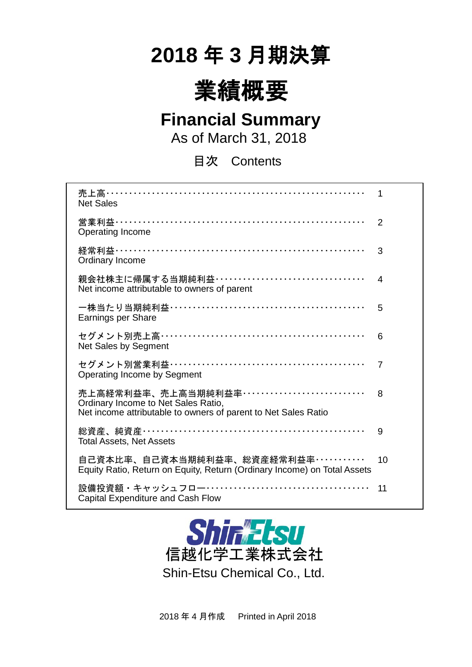# **2018** 年 **3** 月期決算



## **Financial Summary**

As of March 31, 2018

目次 Contents

| 売上高…………………………………………………………<br><b>Net Sales</b>                                                                                          | 1              |
|----------------------------------------------------------------------------------------------------------------------------------------|----------------|
| 営業利益…………………………………………………………<br><b>Operating Income</b>                                                                                  | $\overline{2}$ |
| 経常利益……………………………………………………………<br>Ordinary Income                                                                                         | 3              |
| 親会社株主に帰属する当期純利益 …………………………………<br>Net income attributable to owners of parent                                                           | 4              |
| Earnings per Share                                                                                                                     | 5              |
| セグメント別売上高……………………………………………<br>Net Sales by Segment                                                                                     | 6              |
| セグメント別営業利益……………………………………………<br>Operating Income by Segment                                                                             | $\overline{7}$ |
| 売上高経常利益率、売上高当期純利益率……………………………<br>Ordinary Income to Net Sales Ratio,<br>Net income attributable to owners of parent to Net Sales Ratio | 8              |
| 総資産、純資産…………………………………………………<br><b>Total Assets, Net Assets</b>                                                                          | 9              |
| 自己資本比率、自己資本当期純利益率、総資産経常利益率‥‥‥‥‥‥<br>Equity Ratio, Return on Equity, Return (Ordinary Income) on Total Assets                           | 10             |
| 設備投資額・キャッシュフロー……………………………………<br>Capital Expenditure and Cash Flow                                                                      | 11             |



2018 年 4 月作成 Printed in April 2018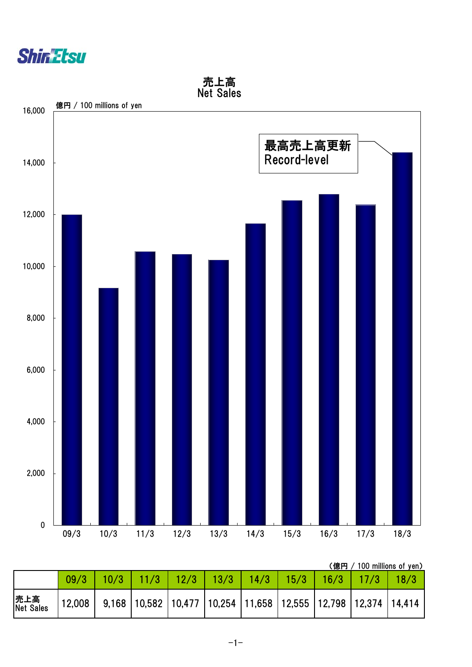



(億円 / 100 millions of yen)

|                  | 09/3                                                                           | 10/3 | 12/3 | $\vert$ 13/3 | 14/3 | $15/3$ | 16/3 |  |
|------------------|--------------------------------------------------------------------------------|------|------|--------------|------|--------|------|--|
| 売上高<br>Net Sales | 12,008   9,168  10,582  10,477  10,254  11,658  12,555  12,798  12,374  14,414 |      |      |              |      |        |      |  |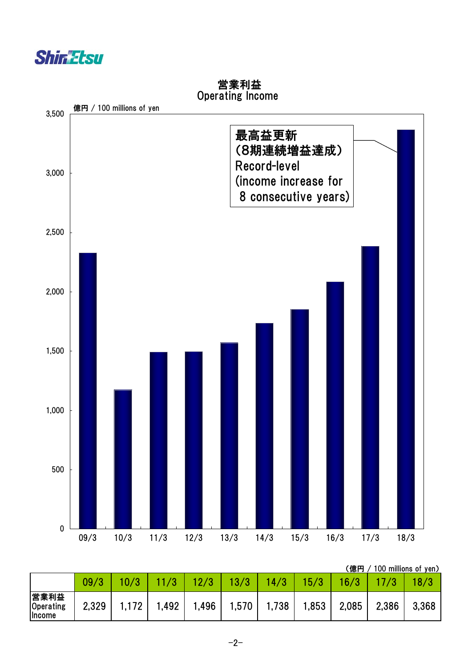



 営業利益 Operating Income

(億円 / 100 millions of yen)

|                             |       |       |       |       |       |       |       | . <i>.</i> |       |       |
|-----------------------------|-------|-------|-------|-------|-------|-------|-------|------------|-------|-------|
|                             | 09/3  |       |       |       | 3/3   | 4/    | 15/3  | 6/3        |       |       |
| 営業利益<br>Operating<br>Income | 2,329 | 1,172 | 1,492 | l,496 | 1,570 | 1,738 | 1,853 | 2,085      | 2,386 | 3,368 |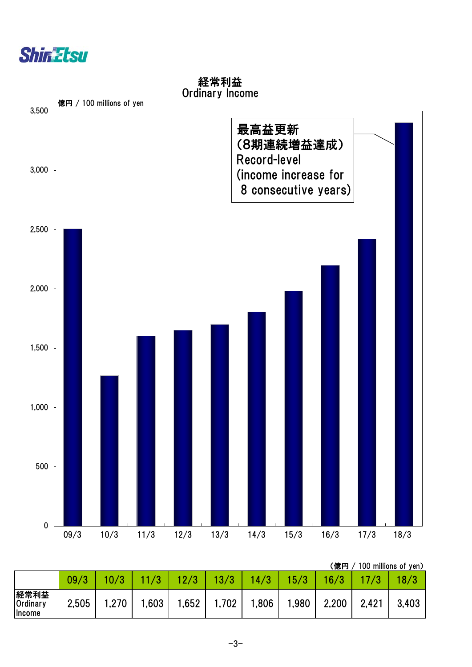



経常利益 Ordinary Income

(億円 / 100 millions of yen)

|                                    |       |       |       |       |      |           |      | \ WW I J / |       | $100$ $11111101100$ $111$ |
|------------------------------------|-------|-------|-------|-------|------|-----------|------|------------|-------|---------------------------|
|                                    | 09/3  |       |       |       |      | /3<br>14. | 5/3  | 16).       |       |                           |
| 経常利益<br>Ordinary<br><b>Ilncome</b> | 2,505 | 1,270 | 1,603 | 1,652 | ,702 | 1,806     | ,980 | 2,200      | 2,421 | 3,403                     |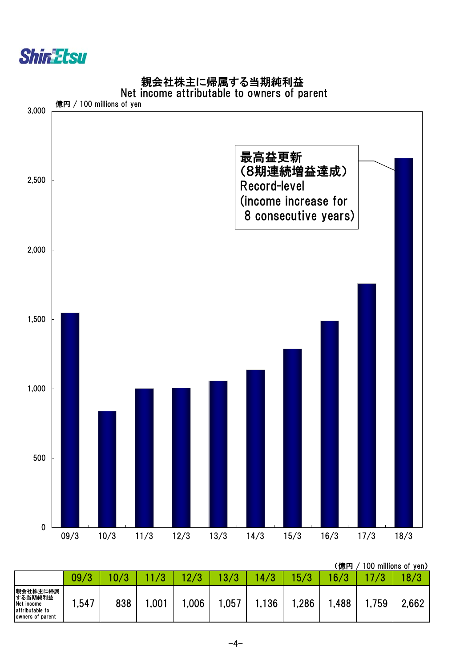

own

親会社株主に帰属する当期純利益



Net income attributable to owners of parent

|                                                                          |                   |     |      |                     |      |                  |      | (億円  |      | 100 millions of yen) |
|--------------------------------------------------------------------------|-------------------|-----|------|---------------------|------|------------------|------|------|------|----------------------|
|                                                                          | 09/<br>$\sqrt{2}$ |     |      | $\Omega$ / $\Omega$ |      | 4<br><b>Sec.</b> | 15/3 | 6/3  |      | 8/3                  |
| 親会社株主に帰属<br>する当期純利益<br>Net income<br>attributable to<br>owners of parent | .,547             | 838 | ,001 | ,006                | ,057 | ,136             | ,286 | ,488 | ,759 | 2,662                |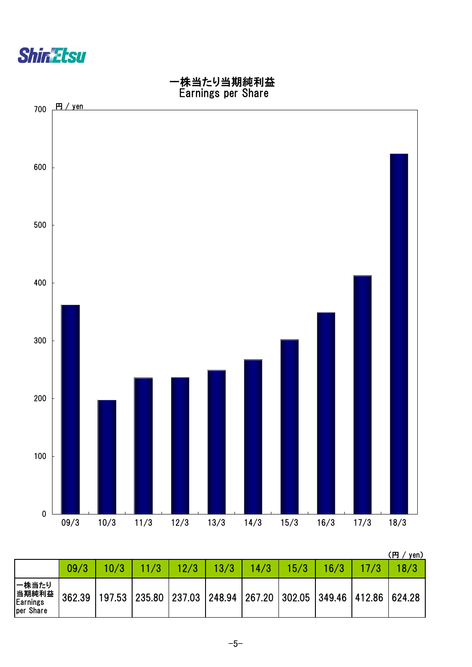



|                                         |        |      |                                                     |      |      |      |      |      |                      | ŒΠ<br>yen) |
|-----------------------------------------|--------|------|-----------------------------------------------------|------|------|------|------|------|----------------------|------------|
|                                         | 09/3   | 10/3 |                                                     | 12/3 | 13/3 | 14/3 | 15/3 | 16/3 |                      | 8/3        |
| 一株当たり<br>当期純利益<br>Earnings<br>per Share | 362.39 |      | 197.53   235.80   237.03   248.94   267.20   302.05 |      |      |      |      |      | 349.46 412.86 624.28 |            |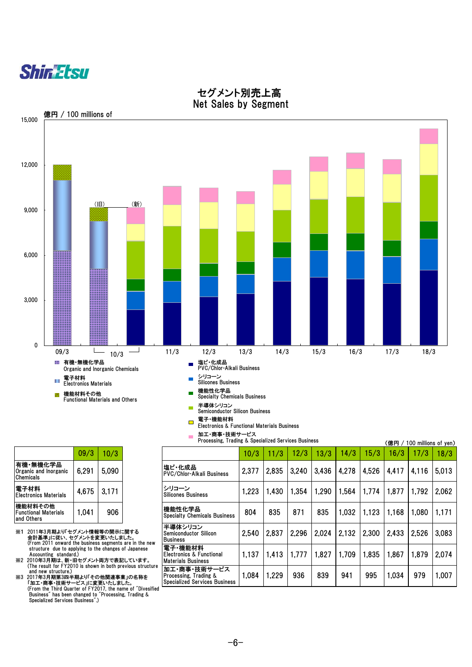



#### セグメント別売上高 Net Sales by Segment

|                                                      | 09/3  | 10/3  |
|------------------------------------------------------|-------|-------|
| 有機・無機化学品<br>Organic and Inorganic<br>Chemicals       | 6,291 | 5,090 |
| 電子材料<br><b>Electronics Materials</b>                 | 4,675 | 3,171 |
| 機能材料その他<br><b>Functional Materials</b><br>and Others | 1,041 | 906   |

※1 2011年3月期より「セグメント情報等の開示に関する<br>
会計基準」に従い、セグメントを変更いたしました。<br>
Ghrm 2011 onward the business segments are in the new<br>
structure due to applying to the changes of Japanese<br>
Accounting standard.)<br>
※2 2010年3月期は、新・旧セグメント両方で表記しています

|                                                                                                                                                  |                |       |  | 加工・商事・技術サービス                                                                  |       |       |       |       |       |       |                      |       |       |
|--------------------------------------------------------------------------------------------------------------------------------------------------|----------------|-------|--|-------------------------------------------------------------------------------|-------|-------|-------|-------|-------|-------|----------------------|-------|-------|
| Processing, Trading & Specialized Services Business                                                                                              |                |       |  |                                                                               |       |       |       |       |       | (億円 / | 100 millions of yen) |       |       |
|                                                                                                                                                  | 09/3           | 10/3  |  |                                                                               | 10/3  | 11/3  | 12/3  | 13/3  | 14/3  | 15/3  | 16/3                 | 17/3  | 18/3  |
| 有機・無機化学品<br>Organic and Inorganic<br>Chemicals                                                                                                   | 6,291          | 5,090 |  | 塩ビ・化成品<br><b>PVC/Chlor-Alkali Business</b>                                    | 2,377 | 2,835 | 3,240 | 3,436 | 4,278 | 4,526 | 4,417                | 4,116 | 5,013 |
| 電子材料<br>Electronics Materials                                                                                                                    | 4,675<br>3,171 |       |  | シリコーン<br><b>Silicones Business</b>                                            | 1,223 | 1,430 | 1,354 | 1,290 | 1,564 | 1.774 | 1,877                | 1,792 | 2,062 |
| 機能材料その他<br>Functional Materials<br>and Others                                                                                                    | 906<br>1,041   |       |  | 機能性化学品<br><b>Specialty Chemicals Business</b>                                 | 804   | 835   | 871   | 835   | 1,032 | 1,123 | 1,168                | 1,080 | 1,171 |
| ※1 2011年3月期より「セグメント情報等の開示に関する<br>会計基準」に従い、セグメントを変更いたしました。<br>(From 2011 onward the business segments are in the new                              |                |       |  | 半導体シリコン<br><b>Semiconductor Silicon</b><br><b>Business</b>                    | 2,540 | 2,837 | 2,296 | 2,024 | 2,132 | 2,300 | 2.433                | 2,526 | 3,083 |
| structure due to applying to the changes of Japanese<br>Accounting standard.)<br>※2 2010年3月期は、新・旧セグメント両方で表記しています。                                |                |       |  | 電子·機能材料<br>lElectronics & Functional<br>Materials Business                    | 1,137 | 1,413 | 1,777 | 1,827 | 1,709 | 1,835 | 1,867                | 1,879 | 2,074 |
| (The result for FY2010 is shown in both previous structure<br>and new structure.)<br>※3 2017年3月期第3四半期より「その他関連事業」の名称を<br>「加工・商事・技術サービス」に変更いたしました。 |                |       |  | 加工・商事・技術サービス<br>Processing, Trading &<br><b>Specialized Services Business</b> | 1,084 | 1,229 | 936   | 839   | 941   | 995   | 1,034                | 979   | 1,007 |
| (From the Third Quarter of FY2017, the name of "Divesified")                                                                                     |                |       |  |                                                                               |       |       |       |       |       |       |                      |       |       |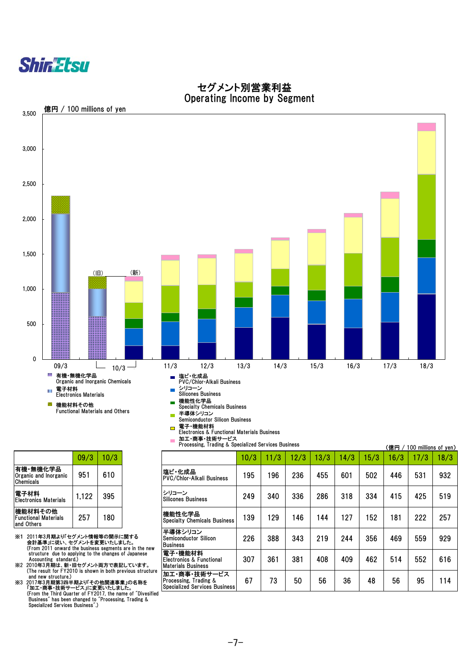

#### セグメント別営業利益 Operating Income by Segment



Processing, Trading & Specialized Services Business

 $\mathbf{r}$ 

|                                                      | 09/3  | 10/3 |
|------------------------------------------------------|-------|------|
| 有機・無機化学品<br>Organic and Inorganic<br>Chemicals       | 951   | 610  |
| 電子材料<br><b>Flectronics Materials</b>                 | 1,122 | 395  |
| 機能材料その他<br><b>Functional Materials</b><br>and Others | 257   | 180  |

- ※1 2011年3月期より「セグメント情報等の開示に関する<br>会計基準」に従い、セグメントを変更いたしました。<br>(From 2011 onward the business segments are in the new<br>structure due to applying to the changes of Japanese<br>Accounting standard.)
- ※2 2010年3月期は、新・旧セグメント両方で表記しています。 (The result for FY2010 is shown in both previous structure and new structure.)

※3 2017年3月期第3四半期より「その他関連事業」の名称を<br>「加工・商事・技術サービス」に変更いたしました。<br>(From the Third Quarter of FY2017, the name of "Divesified"<br>Business" has been changed to "Processing, Trading &<br>Specialized Services Business".)

(億円 / 100 millions of yen) 09/3 10/3 10/3 11/3 12/3 13/3 14/3 15/3 16/3 17/3 18/3 951 | 610 | PHC'1CAX前<br>PVC/Chlor-Alkali Business | 195 | 196 | 236 | 455 | 601 | 502 | 446 | 531 | 932 電士竹科<br>Electronics Materials | 1,122 | 395 | |Silicones Business | 249 | 340 | 336 | 286 | 318 | 334 | 415 | 425 | 519 257 180 139 129 146 144 127 152 181 222 257 機能性化学品 Specialty Chemicals Business 226 388 343 219 244 356 469 559 929 307 | 361 | 381 | 408 | 409 | 462 | 514 | 552 | 616 67 | 73 | 50 | 56 | 36 | 48 | 56 | 95 | 114 半導体シリコン Semiconductor Silicon Business 電子・機能材料 Electronics & Functional Materials Business 加工・商事・技術サービス Processing, Trading & Specialized Services Business 塩ビ・化成品 シリコーン Silicones Business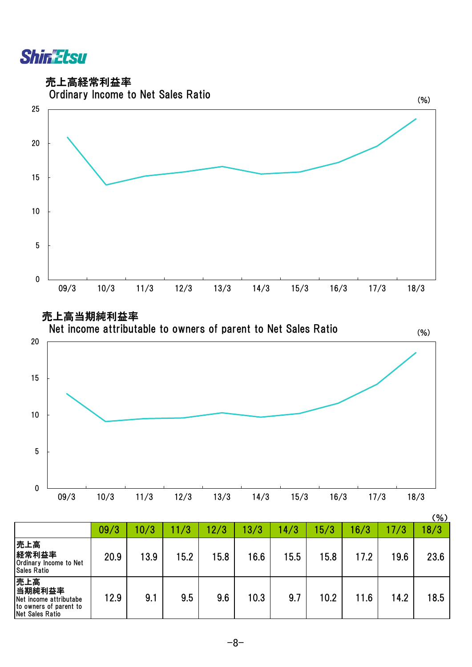**Shin Etsu** 

売上高経常利益率





|                                                                                             |      |      |      |      |      |      |      |      |      | (% ) |
|---------------------------------------------------------------------------------------------|------|------|------|------|------|------|------|------|------|------|
|                                                                                             | 09/3 | 10/3 | 11/3 | 12/3 | 13/3 | 14/3 | 15/3 | 16/3 | 17/3 | 18/3 |
| 売上高<br>経常利益率<br>Ordinary Income to Net<br><b>Sales Ratio</b>                                | 20.9 | 13.9 | 15.2 | 15.8 | 16.6 | 15.5 | 15.8 | 17.2 | 19.6 | 23.6 |
| 売上高<br>当期純利益率<br>Net income attributabe<br>to owners of parent to<br><b>Net Sales Ratio</b> | 12.9 | 9.1  | 9.5  | 9.6  | 10.3 | 9.7  | 10.2 | 11.6 | 14.2 | 18.5 |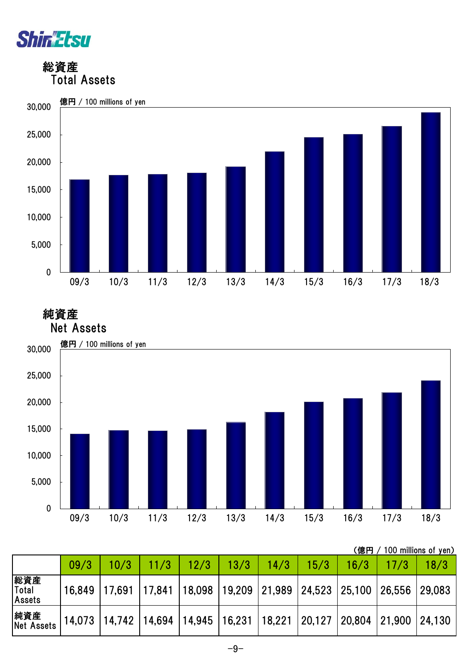

 総資産 Total Assets



 純資産 Net Assets



|                        |        |      |               |                                                                                       |      |      |      |      | (億円 / 100 millions of yen) |      |
|------------------------|--------|------|---------------|---------------------------------------------------------------------------------------|------|------|------|------|----------------------------|------|
|                        | 09/3   | 10/3 | $\sqrt{11/3}$ | 12/3                                                                                  | 13/3 | 14/3 | 15/3 | 16/3 |                            | 18/3 |
| 総資産<br>Total<br>Assets | 16,849 |      |               | $\mid$ 17,691   17,841   18,098   19,209   21,989   24,523   25,100   26,556   29,083 |      |      |      |      |                            |      |
| 純資産<br>Net Assets      |        |      |               | 14,073  14,742  14,694  14,945  16,231  18,221  20,127  20,804  21,900  24,130        |      |      |      |      |                            |      |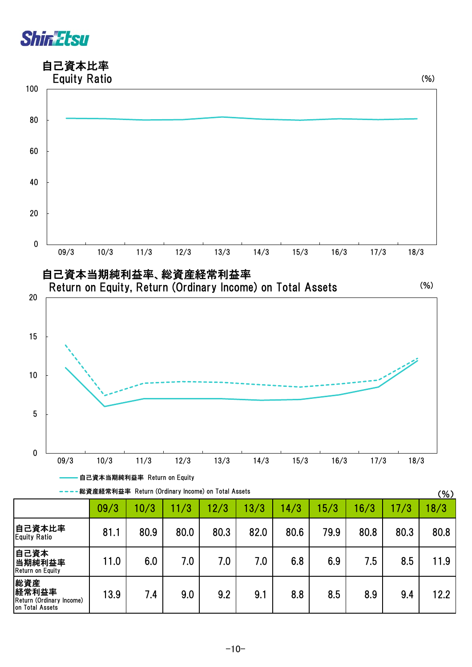### 自己資本比率



| ————総資産経常利益率 Return (Ordinary Income) on Total Assets |  |  |  |  |  |
|-------------------------------------------------------|--|--|--|--|--|
|-------------------------------------------------------|--|--|--|--|--|

| 総資産経常利益率 Return (Ordinary Income) on Total Assets           |      |      |      |      |      |      |      |      | (% ) |      |
|-------------------------------------------------------------|------|------|------|------|------|------|------|------|------|------|
|                                                             | 09/3 | 10/3 | 11/3 | 12/3 | 13/3 | 14/3 | 15/3 | 16/3 | 17/3 | 18/3 |
| 自己資本比率<br><b>Equity Ratio</b>                               | 81.1 | 80.9 | 80.0 | 80.3 | 82.0 | 80.6 | 79.9 | 80.8 | 80.3 | 80.8 |
| 自己資本<br>当期純利益率<br>Return on Equity                          | 11.0 | 6.0  | 7.0  | 7.0  | 7.0  | 6.8  | 6.9  | 7.5  | 8.5  | 11.9 |
| 総資産<br>経常利益率<br>Return (Ordinary Income)<br>on Total Assets | 13.9 | 7.4  | 9.0  | 9.2  | 9.1  | 8.8  | 8.5  | 8.9  | 9.4  | 12.2 |